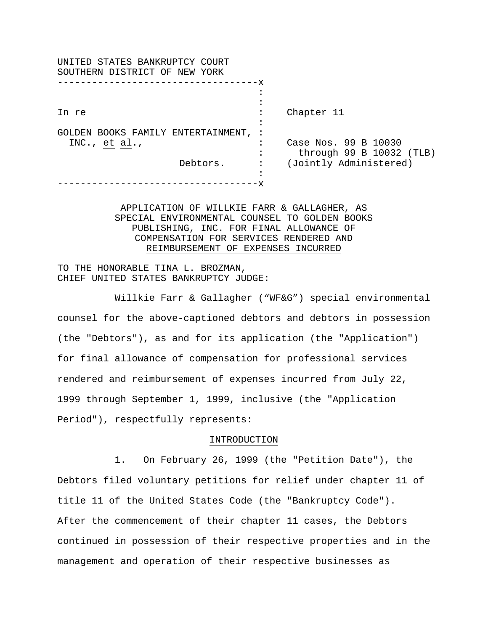| UNITED STATES BANKRUPTCY COURT<br>SOUTHERN DISTRICT OF NEW YORK |                |                          |
|-----------------------------------------------------------------|----------------|--------------------------|
| -----------------------------                                   |                |                          |
|                                                                 |                |                          |
|                                                                 |                |                          |
| In re                                                           |                | Chapter 11               |
|                                                                 |                |                          |
| GOLDEN BOOKS FAMILY ENTERTAINMENT, :                            |                |                          |
| INC., $et al.,$                                                 |                | Case Nos. 99 B 10030     |
|                                                                 |                | through 99 B 10032 (TLB) |
| Debtors.                                                        | $\ddot{\cdot}$ | (Jointly Administered)   |
|                                                                 |                |                          |
|                                                                 |                |                          |
|                                                                 |                |                          |

APPLICATION OF WILLKIE FARR & GALLAGHER, AS SPECIAL ENVIRONMENTAL COUNSEL TO GOLDEN BOOKS PUBLISHING, INC. FOR FINAL ALLOWANCE OF COMPENSATION FOR SERVICES RENDERED AND REIMBURSEMENT OF EXPENSES INCURRED

TO THE HONORABLE TINA L. BROZMAN, CHIEF UNITED STATES BANKRUPTCY JUDGE:

Willkie Farr & Gallagher ("WF&G") special environmental counsel for the above-captioned debtors and debtors in possession (the "Debtors"), as and for its application (the "Application") for final allowance of compensation for professional services rendered and reimbursement of expenses incurred from July 22, 1999 through September 1, 1999, inclusive (the "Application Period"), respectfully represents:

# INTRODUCTION

1. On February 26, 1999 (the "Petition Date"), the Debtors filed voluntary petitions for relief under chapter 11 of title 11 of the United States Code (the "Bankruptcy Code"). After the commencement of their chapter 11 cases, the Debtors continued in possession of their respective properties and in the management and operation of their respective businesses as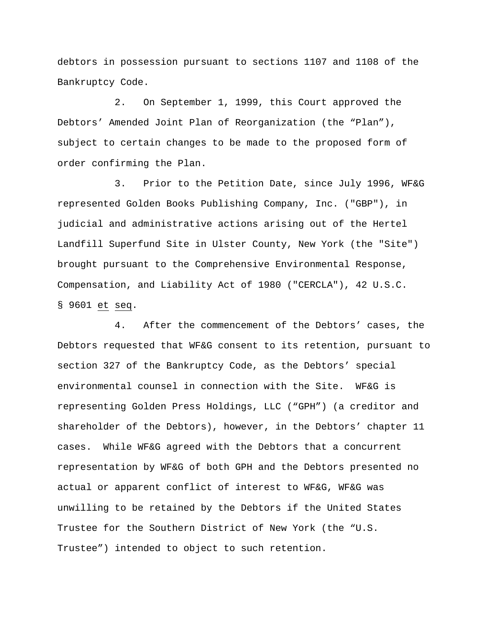debtors in possession pursuant to sections 1107 and 1108 of the Bankruptcy Code.

2. On September 1, 1999, this Court approved the Debtors' Amended Joint Plan of Reorganization (the "Plan"), subject to certain changes to be made to the proposed form of order confirming the Plan.

3. Prior to the Petition Date, since July 1996, WF&G represented Golden Books Publishing Company, Inc. ("GBP"), in judicial and administrative actions arising out of the Hertel Landfill Superfund Site in Ulster County, New York (the "Site") brought pursuant to the Comprehensive Environmental Response, Compensation, and Liability Act of 1980 ("CERCLA"), 42 U.S.C. § 9601 et seq.

4. After the commencement of the Debtors' cases, the Debtors requested that WF&G consent to its retention, pursuant to section 327 of the Bankruptcy Code, as the Debtors' special environmental counsel in connection with the Site. WF&G is representing Golden Press Holdings, LLC ("GPH") (a creditor and shareholder of the Debtors), however, in the Debtors' chapter 11 cases. While WF&G agreed with the Debtors that a concurrent representation by WF&G of both GPH and the Debtors presented no actual or apparent conflict of interest to WF&G, WF&G was unwilling to be retained by the Debtors if the United States Trustee for the Southern District of New York (the "U.S. Trustee") intended to object to such retention.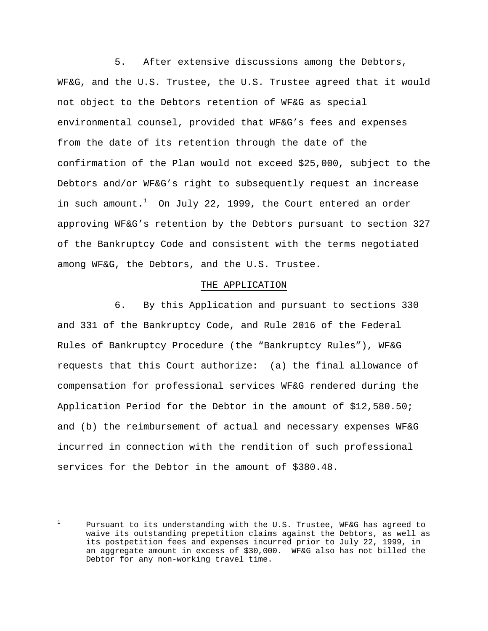5. After extensive discussions among the Debtors, WF&G, and the U.S. Trustee, the U.S. Trustee agreed that it would not object to the Debtors retention of WF&G as special environmental counsel, provided that WF&G's fees and expenses from the date of its retention through the date of the confirmation of the Plan would not exceed \$25,000, subject to the Debtors and/or WF&G's right to subsequently request an increase in such amount.<sup>1</sup> On July 22, 1999, the Court entered an order approving WF&G's retention by the Debtors pursuant to section 327 of the Bankruptcy Code and consistent with the terms negotiated among WF&G, the Debtors, and the U.S. Trustee.

#### THE APPLICATION

6. By this Application and pursuant to sections 330 and 331 of the Bankruptcy Code, and Rule 2016 of the Federal Rules of Bankruptcy Procedure (the "Bankruptcy Rules"), WF&G requests that this Court authorize: (a) the final allowance of compensation for professional services WF&G rendered during the Application Period for the Debtor in the amount of \$12,580.50; and (b) the reimbursement of actual and necessary expenses WF&G incurred in connection with the rendition of such professional services for the Debtor in the amount of \$380.48.

i 1 Pursuant to its understanding with the U.S. Trustee, WF&G has agreed to waive its outstanding prepetition claims against the Debtors, as well as its postpetition fees and expenses incurred prior to July 22, 1999, in an aggregate amount in excess of \$30,000. WF&G also has not billed the Debtor for any non-working travel time.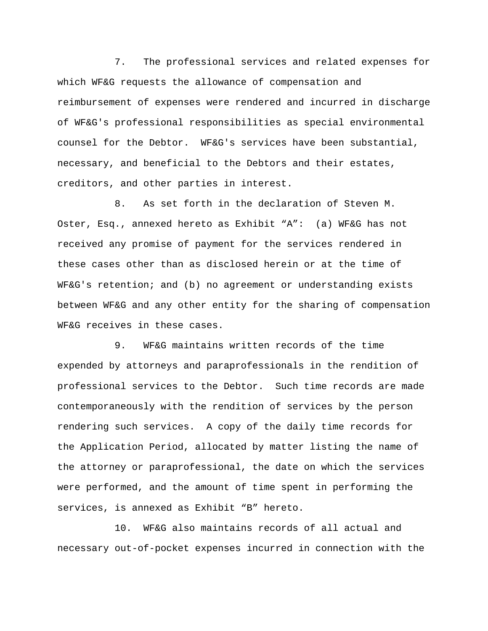7. The professional services and related expenses for which WF&G requests the allowance of compensation and reimbursement of expenses were rendered and incurred in discharge of WF&G's professional responsibilities as special environmental counsel for the Debtor. WF&G's services have been substantial, necessary, and beneficial to the Debtors and their estates, creditors, and other parties in interest.

8. As set forth in the declaration of Steven M. Oster, Esq., annexed hereto as Exhibit "A": (a) WF&G has not received any promise of payment for the services rendered in these cases other than as disclosed herein or at the time of WF&G's retention; and (b) no agreement or understanding exists between WF&G and any other entity for the sharing of compensation WF&G receives in these cases.

9. WF&G maintains written records of the time expended by attorneys and paraprofessionals in the rendition of professional services to the Debtor. Such time records are made contemporaneously with the rendition of services by the person rendering such services. A copy of the daily time records for the Application Period, allocated by matter listing the name of the attorney or paraprofessional, the date on which the services were performed, and the amount of time spent in performing the services, is annexed as Exhibit "B" hereto.

10. WF&G also maintains records of all actual and necessary out-of-pocket expenses incurred in connection with the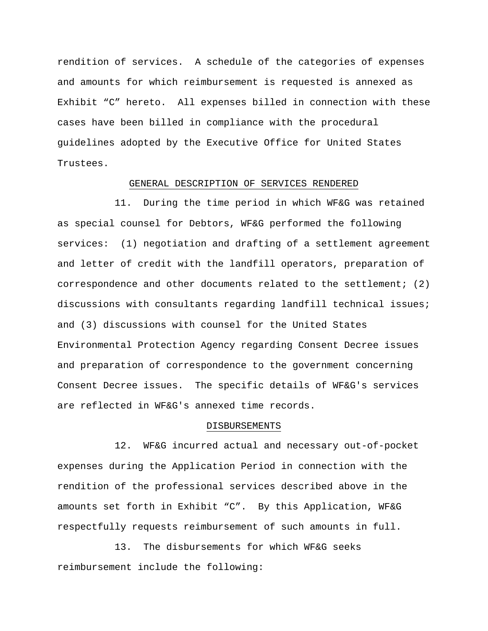rendition of services. A schedule of the categories of expenses and amounts for which reimbursement is requested is annexed as Exhibit "C" hereto. All expenses billed in connection with these cases have been billed in compliance with the procedural guidelines adopted by the Executive Office for United States Trustees.

## GENERAL DESCRIPTION OF SERVICES RENDERED

11. During the time period in which WF&G was retained as special counsel for Debtors, WF&G performed the following services: (1) negotiation and drafting of a settlement agreement and letter of credit with the landfill operators, preparation of correspondence and other documents related to the settlement; (2) discussions with consultants regarding landfill technical issues; and (3) discussions with counsel for the United States Environmental Protection Agency regarding Consent Decree issues and preparation of correspondence to the government concerning Consent Decree issues. The specific details of WF&G's services are reflected in WF&G's annexed time records.

#### DISBURSEMENTS

12. WF&G incurred actual and necessary out-of-pocket expenses during the Application Period in connection with the rendition of the professional services described above in the amounts set forth in Exhibit "C". By this Application, WF&G respectfully requests reimbursement of such amounts in full.

13. The disbursements for which WF&G seeks reimbursement include the following: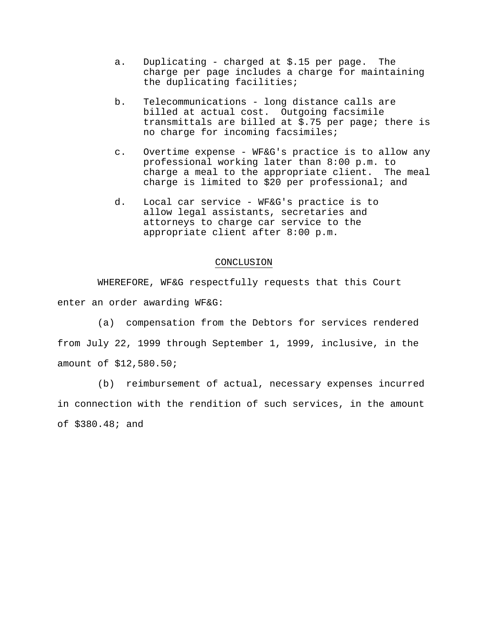- a. Duplicating charged at \$.15 per page. The charge per page includes a charge for maintaining the duplicating facilities;
- b. Telecommunications long distance calls are billed at actual cost. Outgoing facsimile transmittals are billed at \$.75 per page; there is no charge for incoming facsimiles;
- c. Overtime expense WF&G's practice is to allow any professional working later than 8:00 p.m. to charge a meal to the appropriate client. The meal charge is limited to \$20 per professional; and
- d. Local car service WF&G's practice is to allow legal assistants, secretaries and attorneys to charge car service to the appropriate client after 8:00 p.m.

### CONCLUSION

WHEREFORE, WF&G respectfully requests that this Court enter an order awarding WF&G:

(a) compensation from the Debtors for services rendered from July 22, 1999 through September 1, 1999, inclusive, in the amount of \$12,580.50;

(b) reimbursement of actual, necessary expenses incurred in connection with the rendition of such services, in the amount of \$380.48; and